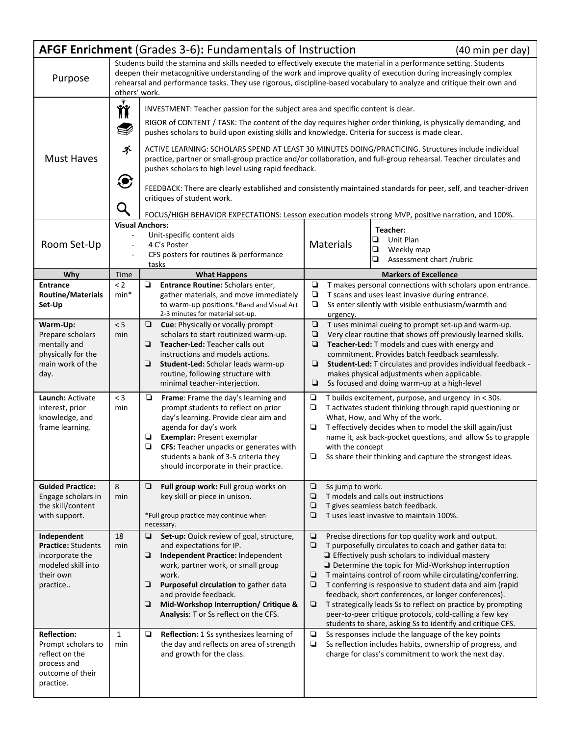| AFGF Enrichment (Grades 3-6): Fundamentals of Instruction<br>(40 min per day)                                                                                                                                                                                                                                                                                                                 |                       |                                                                                                                                                                                                                                                                                                                                                                                                                                                                                                                                                                                                                                                                                                                                                                                                                                                |                                                                                                                                                                                                                                                                                                                                                                                                                  |                                                                                                                                                                                                                                                                                                                                                                                                                                                                                                                                                                                                         |  |  |  |
|-----------------------------------------------------------------------------------------------------------------------------------------------------------------------------------------------------------------------------------------------------------------------------------------------------------------------------------------------------------------------------------------------|-----------------------|------------------------------------------------------------------------------------------------------------------------------------------------------------------------------------------------------------------------------------------------------------------------------------------------------------------------------------------------------------------------------------------------------------------------------------------------------------------------------------------------------------------------------------------------------------------------------------------------------------------------------------------------------------------------------------------------------------------------------------------------------------------------------------------------------------------------------------------------|------------------------------------------------------------------------------------------------------------------------------------------------------------------------------------------------------------------------------------------------------------------------------------------------------------------------------------------------------------------------------------------------------------------|---------------------------------------------------------------------------------------------------------------------------------------------------------------------------------------------------------------------------------------------------------------------------------------------------------------------------------------------------------------------------------------------------------------------------------------------------------------------------------------------------------------------------------------------------------------------------------------------------------|--|--|--|
| Students build the stamina and skills needed to effectively execute the material in a performance setting. Students<br>deepen their metacognitive understanding of the work and improve quality of execution during increasingly complex<br>Purpose<br>rehearsal and performance tasks. They use rigorous, discipline-based vocabulary to analyze and critique their own and<br>others' work. |                       |                                                                                                                                                                                                                                                                                                                                                                                                                                                                                                                                                                                                                                                                                                                                                                                                                                                |                                                                                                                                                                                                                                                                                                                                                                                                                  |                                                                                                                                                                                                                                                                                                                                                                                                                                                                                                                                                                                                         |  |  |  |
| <b>Must Haves</b>                                                                                                                                                                                                                                                                                                                                                                             | ň<br>V<br>ぶ<br>€<br>Q | INVESTMENT: Teacher passion for the subject area and specific content is clear.<br>RIGOR of CONTENT / TASK: The content of the day requires higher order thinking, is physically demanding, and<br>pushes scholars to build upon existing skills and knowledge. Criteria for success is made clear.<br>ACTIVE LEARNING: SCHOLARS SPEND AT LEAST 30 MINUTES DOING/PRACTICING. Structures include individual<br>practice, partner or small-group practice and/or collaboration, and full-group rehearsal. Teacher circulates and<br>pushes scholars to high level using rapid feedback.<br>FEEDBACK: There are clearly established and consistently maintained standards for peer, self, and teacher-driven<br>critiques of student work.<br>FOCUS/HIGH BEHAVIOR EXPECTATIONS: Lesson execution models strong MVP, positive narration, and 100%. |                                                                                                                                                                                                                                                                                                                                                                                                                  |                                                                                                                                                                                                                                                                                                                                                                                                                                                                                                                                                                                                         |  |  |  |
| Room Set-Up                                                                                                                                                                                                                                                                                                                                                                                   |                       | <b>Visual Anchors:</b><br>Unit-specific content aids<br>4 C's Poster<br>CFS posters for routines & performance<br>tasks                                                                                                                                                                                                                                                                                                                                                                                                                                                                                                                                                                                                                                                                                                                        | Materials                                                                                                                                                                                                                                                                                                                                                                                                        | Teacher:<br>o<br>Unit Plan<br>$\Box$<br>Weekly map<br>❏<br>Assessment chart /rubric                                                                                                                                                                                                                                                                                                                                                                                                                                                                                                                     |  |  |  |
| Why                                                                                                                                                                                                                                                                                                                                                                                           | Time                  | <b>What Happens</b>                                                                                                                                                                                                                                                                                                                                                                                                                                                                                                                                                                                                                                                                                                                                                                                                                            |                                                                                                                                                                                                                                                                                                                                                                                                                  | <b>Markers of Excellence</b>                                                                                                                                                                                                                                                                                                                                                                                                                                                                                                                                                                            |  |  |  |
| <b>Entrance</b><br><b>Routine/Materials</b><br>Set-Up                                                                                                                                                                                                                                                                                                                                         | < 2<br>$min*$         | Entrance Routine: Scholars enter,<br>⊔<br>gather materials, and move immediately<br>to warm-up positions.*Band and Visual Art<br>2-3 minutes for material set-up.                                                                                                                                                                                                                                                                                                                                                                                                                                                                                                                                                                                                                                                                              | ❏<br>$\Box$<br>❏<br>urgency.                                                                                                                                                                                                                                                                                                                                                                                     | T makes personal connections with scholars upon entrance.<br>T scans and uses least invasive during entrance.<br>Ss enter silently with visible enthusiasm/warmth and                                                                                                                                                                                                                                                                                                                                                                                                                                   |  |  |  |
| Warm-Up:<br>Prepare scholars<br>mentally and<br>physically for the<br>main work of the<br>day.                                                                                                                                                                                                                                                                                                | < 5<br>min            | ⊔<br><b>Cue:</b> Physically or vocally prompt<br>scholars to start routinized warm-up.<br><b>Teacher-Led: Teacher calls out</b><br>⊔<br>instructions and models actions.<br>Student-Led: Scholar leads warm-up<br>⊔<br>routine, following structure with<br>minimal teacher-interjection.                                                                                                                                                                                                                                                                                                                                                                                                                                                                                                                                                      | ❏<br>T uses minimal cueing to prompt set-up and warm-up.<br>Very clear routine that shows off previously learned skills.<br>❏<br>❏<br>Teacher-Led: T models and cues with energy and<br>commitment. Provides batch feedback seamlessly.<br>Student-Led: T circulates and provides individual feedback -<br>❏<br>makes physical adjustments when applicable.<br>Ss focused and doing warm-up at a high-level<br>⊔ |                                                                                                                                                                                                                                                                                                                                                                                                                                                                                                                                                                                                         |  |  |  |
| Launch: Activate<br>interest, prior<br>knowledge, and<br>frame learning.                                                                                                                                                                                                                                                                                                                      | $<$ 3<br>min          | ⊔<br><b>Frame:</b> Frame the day's learning and<br>prompt students to reflect on prior<br>day's learning. Provide clear aim and<br>agenda for day's work<br>Exemplar: Present exemplar<br>❏<br>▫<br>CFS: Teacher unpacks or generates with<br>students a bank of 3-5 criteria they<br>should incorporate in their practice.                                                                                                                                                                                                                                                                                                                                                                                                                                                                                                                    | ❏<br>⊔<br>▫                                                                                                                                                                                                                                                                                                                                                                                                      | T builds excitement, purpose, and urgency in < 30s.<br>T activates student thinking through rapid questioning or<br>What, How, and Why of the work.<br>T effectively decides when to model the skill again/just<br>name it, ask back-pocket questions, and allow Ss to grapple<br>with the concept<br>$\Box$ Ss share their thinking and capture the strongest ideas.                                                                                                                                                                                                                                   |  |  |  |
| <b>Guided Practice:</b><br>Engage scholars in<br>the skill/content<br>with support.                                                                                                                                                                                                                                                                                                           | 8<br>min              | □<br>Full group work: Full group works on<br>key skill or piece in unison.<br>*Full group practice may continue when<br>necessary.                                                                                                                                                                                                                                                                                                                                                                                                                                                                                                                                                                                                                                                                                                             | ▫<br>Ss jump to work.<br>❏<br>❏<br>❏                                                                                                                                                                                                                                                                                                                                                                             | T models and calls out instructions<br>T gives seamless batch feedback.<br>T uses least invasive to maintain 100%.                                                                                                                                                                                                                                                                                                                                                                                                                                                                                      |  |  |  |
| Independent<br><b>Practice: Students</b><br>incorporate the<br>modeled skill into<br>their own<br>practice                                                                                                                                                                                                                                                                                    | 18<br>min             | Set-up: Quick review of goal, structure,<br>▫<br>and expectations for IP.<br>Independent Practice: Independent<br>❏<br>work, partner work, or small group<br>work.<br>▫<br>Purposeful circulation to gather data<br>and provide feedback.<br>Mid-Workshop Interruption/ Critique &<br>▫<br>Analysis: T or Ss reflect on the CFS.                                                                                                                                                                                                                                                                                                                                                                                                                                                                                                               | ❏<br>❏<br>❏<br>$\Box$<br>❏                                                                                                                                                                                                                                                                                                                                                                                       | Precise directions for top quality work and output.<br>T purposefully circulates to coach and gather data to:<br>$\Box$ Effectively push scholars to individual mastery<br>Determine the topic for Mid-Workshop interruption<br>T maintains control of room while circulating/conferring.<br>T conferring is responsive to student data and aim (rapid<br>feedback, short conferences, or longer conferences).<br>T strategically leads Ss to reflect on practice by prompting<br>peer-to-peer critique protocols, cold-calling a few key<br>students to share, asking Ss to identify and critique CFS. |  |  |  |
| <b>Reflection:</b><br>Prompt scholars to<br>reflect on the<br>process and<br>outcome of their<br>practice.                                                                                                                                                                                                                                                                                    | $\mathbf{1}$<br>min   | Reflection: 1 Ss synthesizes learning of<br>the day and reflects on area of strength<br>and growth for the class.                                                                                                                                                                                                                                                                                                                                                                                                                                                                                                                                                                                                                                                                                                                              | $\Box$<br>$\Box$                                                                                                                                                                                                                                                                                                                                                                                                 | Ss responses include the language of the key points<br>Ss reflection includes habits, ownership of progress, and<br>charge for class's commitment to work the next day.                                                                                                                                                                                                                                                                                                                                                                                                                                 |  |  |  |